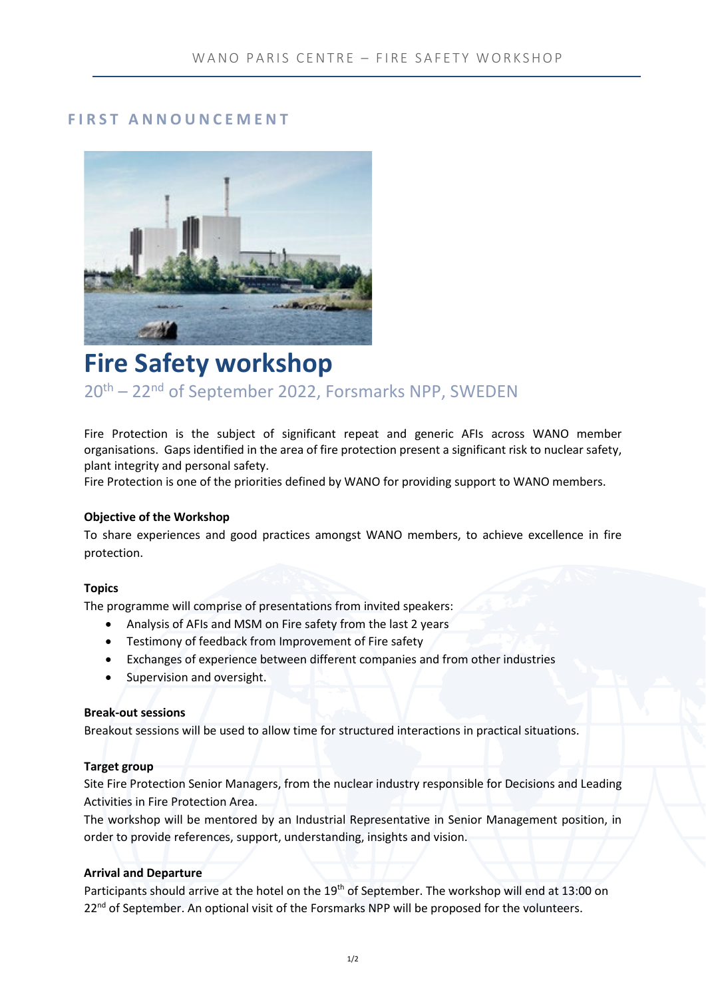# **FIRST ANNOUNCEMENT**



# **Fire Safety workshop**

20th – 22nd of September 2022, Forsmarks NPP, SWEDEN

Fire Protection is the subject of significant repeat and generic AFIs across WANO member organisations. Gaps identified in the area of fire protection present a significant risk to nuclear safety, plant integrity and personal safety.

Fire Protection is one of the priorities defined by WANO for providing support to WANO members.

## **Objective of the Workshop**

To share experiences and good practices amongst WANO members, to achieve excellence in fire protection.

## **Topics**

The programme will comprise of presentations from invited speakers:

- Analysis of AFIs and MSM on Fire safety from the last 2 years
- Testimony of feedback from Improvement of Fire safety
- Exchanges of experience between different companies and from other industries
- Supervision and oversight.

## **Break-out sessions**

Breakout sessions will be used to allow time for structured interactions in practical situations.

## **Target group**

Site Fire Protection Senior Managers, from the nuclear industry responsible for Decisions and Leading Activities in Fire Protection Area.

The workshop will be mentored by an Industrial Representative in Senior Management position, in order to provide references, support, understanding, insights and vision.

## **Arrival and Departure**

Participants should arrive at the hotel on the 19<sup>th</sup> of September. The workshop will end at 13:00 on 22<sup>nd</sup> of September. An optional visit of the Forsmarks NPP will be proposed for the volunteers.